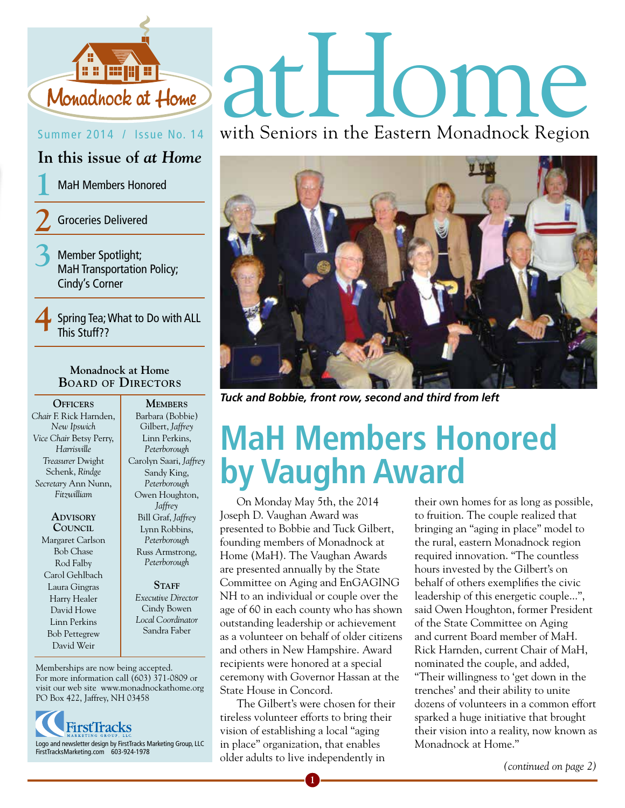

#### Summer 2014 / Issue No. 14

**In this issue of** *at Home*

**1** MaH Members Honored

**2** Groceries Delivered

**3** Member Spotlight; MaH Transportation Policy; Cindy's Corner

**4** Spring Tea; What to Do with ALL This Stuff??

#### **Monadnock at Home Board of Directors**

**Officers** *Chair* F. Rick Harnden, *New Ipswich Vice Chair* Betsy Perry, *Harrisville Treasurer* Dwight Schenk, *Rindge Secretary* Ann Nunn, *Fitzwilliam*

> **Advisory Council** Margaret Carlson Bob Chase Rod Falby Carol Gehlbach Laura Gingras Harry Healer David Howe Linn Perkins Bob Pettegrew David Weir

Barbara (Bobbie) Gilbert, *Jaffrey* Linn Perkins, *Peterborough* Carolyn Saari, *Jaffrey* Sandy King, *Peterborough* Owen Houghton, *Jaffrey* Bill Graf, *Jaffrey* Lynn Robbins, *Peterborough* Russ Armstrong, *Peterborough* 

#### STAFF *Executive Director* Cindy Bowen *Local Coordinator*  Sandra Faber

Memberships are now being accepted. For more information call (603) 371-0809 or visit our web site www.monadnockathome.org PO Box 422, Jaffrey, NH 03458



# Monadhock at Home at HOMP

with Seniors in the Eastern Monadnock Region



*Tuck and Bobbie, front row, second and third from left* **Members**

## **MaH Members Honored by Vaughn Award**

 On Monday May 5th, the 2014 Joseph D. Vaughan Award was presented to Bobbie and Tuck Gilbert, founding members of Monadnock at Home (MaH). The Vaughan Awards are presented annually by the State Committee on Aging and EnGAGING NH to an individual or couple over the age of 60 in each county who has shown outstanding leadership or achievement as a volunteer on behalf of older citizens and others in New Hampshire. Award recipients were honored at a special ceremony with Governor Hassan at the State House in Concord.

 The Gilbert's were chosen for their tireless volunteer efforts to bring their vision of establishing a local "aging in place" organization, that enables older adults to live independently in

**1**

their own homes for as long as possible, to fruition. The couple realized that bringing an "aging in place" model to the rural, eastern Monadnock region required innovation. "The countless hours invested by the Gilbert's on behalf of others exemplifies the civic leadership of this energetic couple...", said Owen Houghton, former President of the State Committee on Aging and current Board member of MaH. Rick Harnden, current Chair of MaH, nominated the couple, and added, "Their willingness to 'get down in the trenches' and their ability to unite dozens of volunteers in a common effort sparked a huge initiative that brought their vision into a reality, now known as Monadnock at Home."

*(continued on page 2)*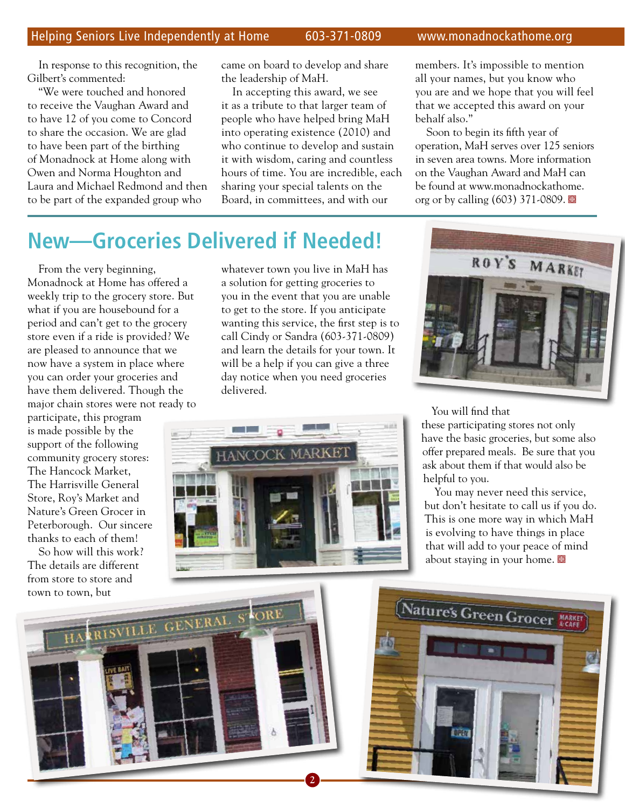In response to this recognition, the Gilbert's commented:

"We were touched and honored to receive the Vaughan Award and to have 12 of you come to Concord to share the occasion. We are glad to have been part of the birthing of Monadnock at Home along with Owen and Norma Houghton and Laura and Michael Redmond and then to be part of the expanded group who

came on board to develop and share the leadership of MaH.

In accepting this award, we see it as a tribute to that larger team of people who have helped bring MaH into operating existence (2010) and who continue to develop and sustain it with wisdom, caring and countless hours of time. You are incredible, each sharing your special talents on the Board, in committees, and with our

members. It's impossible to mention all your names, but you know who you are and we hope that you will feel that we accepted this award on your behalf also."

Soon to begin its fifth year of operation, MaH serves over 125 seniors in seven area towns. More information on the Vaughan Award and MaH can be found at www.monadnockathome. org or by calling  $(603)$  371-0809.

### **New—Groceries Delivered if Needed!**

From the very beginning, Monadnock at Home has offered a weekly trip to the grocery store. But what if you are housebound for a period and can't get to the grocery store even if a ride is provided? We are pleased to announce that we now have a system in place where you can order your groceries and have them delivered. Though the major chain stores were not ready to

participate, this program is made possible by the support of the following community grocery stores: The Hancock Market, The Harrisville General Store, Roy's Market and Nature's Green Grocer in Peterborough. Our sincere thanks to each of them!

So how will this work? The details are different from store to store and town to town, but

whatever town you live in MaH has a solution for getting groceries to you in the event that you are unable to get to the store. If you anticipate wanting this service, the first step is to call Cindy or Sandra (603-371-0809) and learn the details for your town. It will be a help if you can give a three day notice when you need groceries delivered.





#### You will find that

these participating stores not only have the basic groceries, but some also offer prepared meals. Be sure that you ask about them if that would also be helpful to you.

You may never need this service, but don't hesitate to call us if you do. This is one more way in which MaH is evolving to have things in place that will add to your peace of mind about staying in your home.  $\blacksquare$ 



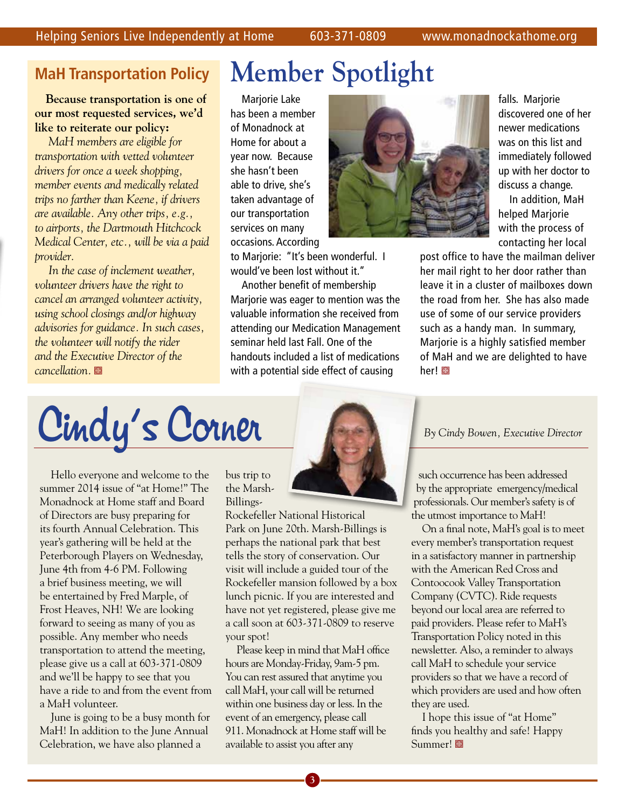#### **MaH Transportation Policy**

**Because transportation is one of our most requested services, we'd like to reiterate our policy:**

*MaH members are eligible for transportation with vetted volunteer drivers for once a week shopping, member events and medically related trips no farther than Keene, if drivers are available. Any other trips, e.g., to airports, the Dartmouth Hitchcock Medical Center, etc., will be via a paid provider.*

*In the case of inclement weather, volunteer drivers have the right to cancel an arranged volunteer activity, using school closings and/or highway advisories for guidance. In such cases, the volunteer will notify the rider and the Executive Director of the cancellation.* 

## **Member Spotlight**

Marjorie Lake has been a member of Monadnock at Home for about a year now. Because she hasn't been able to drive, she's taken advantage of our transportation services on many occasions. According

to Marjorie: "It's been wonderful. I would've been lost without it." Another benefit of membership Marjorie was eager to mention was the valuable information she received from attending our Medication Management seminar held last Fall. One of the handouts included a list of medications with a potential side effect of causing



falls. Marjorie discovered one of her newer medications was on this list and immediately followed up with her doctor to discuss a change.

In addition, MaH helped Marjorie with the process of contacting her local

post office to have the mailman deliver her mail right to her door rather than leave it in a cluster of mailboxes down the road from her. She has also made use of some of our service providers such as a handy man. In summary, Marjorie is a highly satisfied member of MaH and we are delighted to have her!

Cindy's Corner **Corner Corner Corner Propriet Constant Concept Contains Corner Corner Director** 

Hello everyone and welcome to the summer 2014 issue of "at Home!" The Monadnock at Home staff and Board of Directors are busy preparing for its fourth Annual Celebration. This year's gathering will be held at the Peterborough Players on Wednesday, June 4th from 4-6 PM. Following a brief business meeting, we will be entertained by Fred Marple, of Frost Heaves, NH! We are looking forward to seeing as many of you as possible. Any member who needs transportation to attend the meeting, please give us a call at 603-371-0809 and we'll be happy to see that you have a ride to and from the event from a MaH volunteer.

June is going to be a busy month for MaH! In addition to the June Annual Celebration, we have also planned a

bus trip to the Marsh-Billings-

Rockefeller National Historical Park on June 20th. Marsh-Billings is perhaps the national park that best tells the story of conservation. Our visit will include a guided tour of the Rockefeller mansion followed by a box lunch picnic. If you are interested and have not yet registered, please give me a call soon at 603-371-0809 to reserve your spot!

Please keep in mind that MaH office hours are Monday-Friday, 9am-5 pm. You can rest assured that anytime you call MaH, your call will be returned within one business day or less. In the event of an emergency, please call 911. Monadnock at Home staff will be available to assist you after any

such occurrence has been addressed

 by the appropriate emergency/medical professionals. Our member's safety is of the utmost importance to MaH!

On a final note, MaH's goal is to meet every member's transportation request in a satisfactory manner in partnership with the American Red Cross and Contoocook Valley Transportation Company (CVTC). Ride requests beyond our local area are referred to paid providers. Please refer to MaH's Transportation Policy noted in this newsletter. Also, a reminder to always call MaH to schedule your service providers so that we have a record of which providers are used and how often they are used.

I hope this issue of "at Home" finds you healthy and safe! Happy Summer!